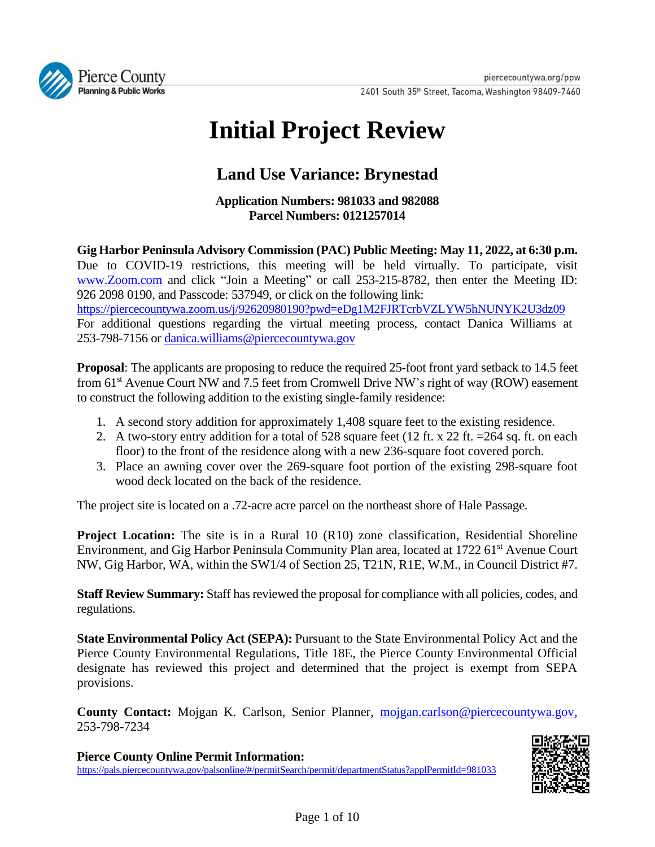

# **Initial Project Review**

# **Land Use Variance: Brynestad**

**Application Numbers: 981033 and 982088 Parcel Numbers: 0121257014**

**Gig Harbor Peninsula Advisory Commission (PAC) Public Meeting: May 11, 2022, at 6:30 p.m.** Due to COVID-19 restrictions, this meeting will be held virtually. To participate, visit [www.Zoom.com](http://www.zoom.com/) and click "Join a Meeting" or call 253-215-8782, then enter the Meeting ID: 926 2098 0190, and Passcode: 537949, or click on the following link: <https://piercecountywa.zoom.us/j/92620980190?pwd=eDg1M2FJRTcrbVZLYW5hNUNYK2U3dz09> For additional questions regarding the virtual meeting process, contact Danica Williams at 253-798-7156 o[r danica.williams@piercecountywa.gov](mailto:danica.williams@piercecountywa.gov)

**Proposal**: The applicants are proposing to reduce the required 25-foot front yard setback to 14.5 feet from 61<sup>st</sup> Avenue Court NW and 7.5 feet from Cromwell Drive NW's right of way (ROW) easement to construct the following addition to the existing single-family residence:

- 1. A second story addition for approximately 1,408 square feet to the existing residence.
- 2. A two-story entry addition for a total of 528 square feet (12 ft. x 22 ft. = 264 sq. ft. on each floor) to the front of the residence along with a new 236-square foot covered porch.
- 3. Place an awning cover over the 269-square foot portion of the existing 298-square foot wood deck located on the back of the residence.

The project site is located on a .72-acre acre parcel on the northeast shore of Hale Passage.

**Project Location:** The site is in a Rural 10 (R10) zone classification, Residential Shoreline Environment, and Gig Harbor Peninsula Community Plan area, located at 1722 61<sup>st</sup> Avenue Court NW, Gig Harbor, WA, within the SW1/4 of Section 25, T21N, R1E, W.M., in Council District #7.

**Staff Review Summary:** Staff has reviewed the proposal for compliance with all policies, codes, and regulations.

**State Environmental Policy Act (SEPA):** Pursuant to the State Environmental Policy Act and the Pierce County Environmental Regulations, Title 18E, the Pierce County Environmental Official designate has reviewed this project and determined that the project is exempt from SEPA provisions.

**County Contact:** Mojgan K. Carlson, Senior Planner, [mojgan.carlson@piercecountywa.gov,](mailto:mojgan.carlson@piercecountywa.gov) 253-798-7234

**Pierce County Online Permit Information:** <https://pals.piercecountywa.gov/palsonline/#/permitSearch/permit/departmentStatus?applPermitId=981033>

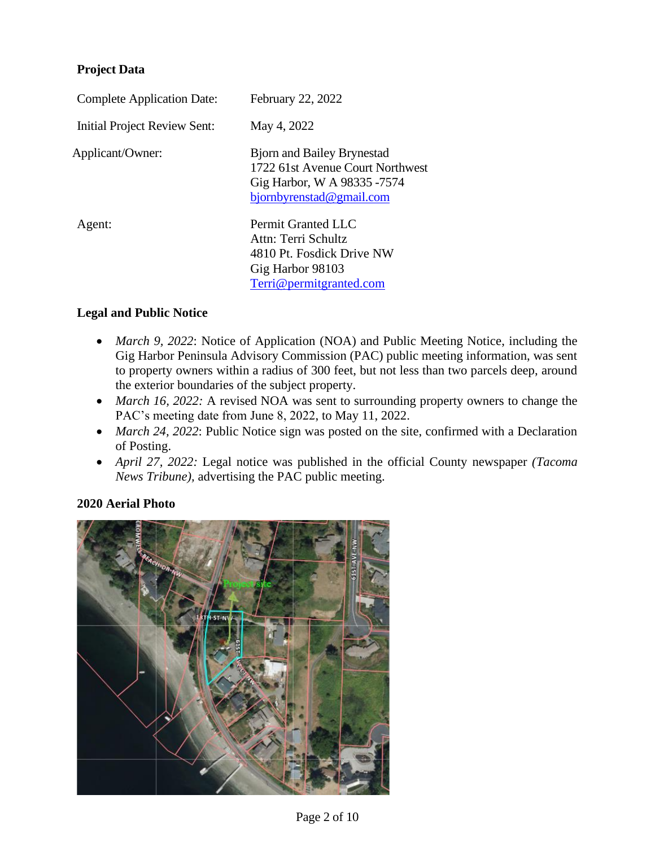# **Project Data**

| <b>Complete Application Date:</b>   | February 22, 2022                                                                                                                |  |
|-------------------------------------|----------------------------------------------------------------------------------------------------------------------------------|--|
| <b>Initial Project Review Sent:</b> | May 4, 2022                                                                                                                      |  |
| Applicant/Owner:                    | <b>Bjorn and Bailey Brynestad</b><br>1722 61st Avenue Court Northwest<br>Gig Harbor, W A 98335 -7574<br>bjornbyrenstad@gmail.com |  |
| Agent:                              | Permit Granted LLC<br>Attn: Terri Schultz<br>4810 Pt. Fosdick Drive NW<br>Gig Harbor 98103<br>Terri@permitgranted.com            |  |

#### **Legal and Public Notice**

- *March 9, 2022*: Notice of Application (NOA) and Public Meeting Notice, including the Gig Harbor Peninsula Advisory Commission (PAC) public meeting information, was sent to property owners within a radius of 300 feet, but not less than two parcels deep, around the exterior boundaries of the subject property.
- *March 16, 2022:* A revised NOA was sent to surrounding property owners to change the PAC's meeting date from June 8, 2022, to May 11, 2022.
- *March 24, 2022*: Public Notice sign was posted on the site, confirmed with a Declaration of Posting.
- *April 27, 2022:* Legal notice was published in the official County newspaper *(Tacoma News Tribune),* advertising the PAC public meeting.

# **2020 Aerial Photo**

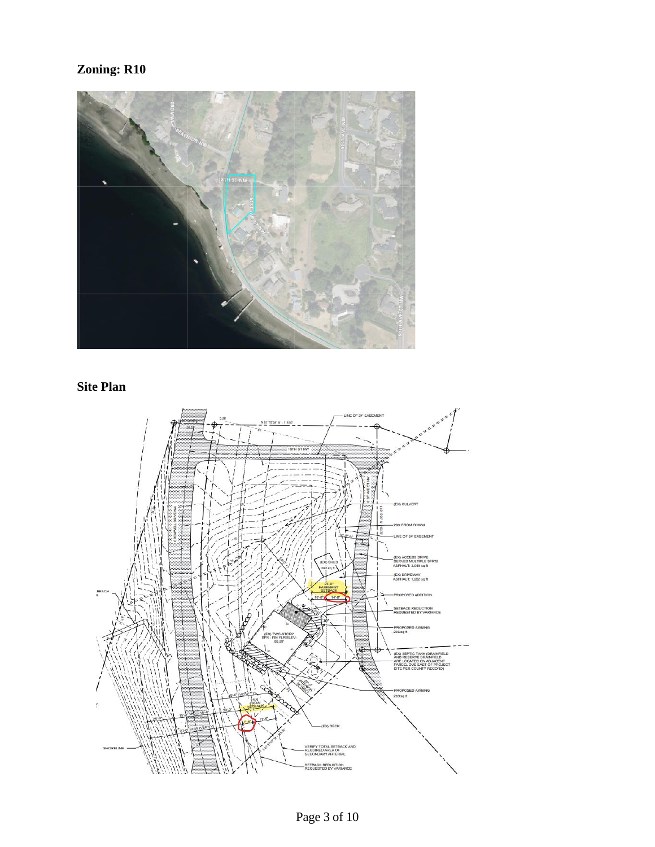# **Zoning: R10**



# **Site Plan**

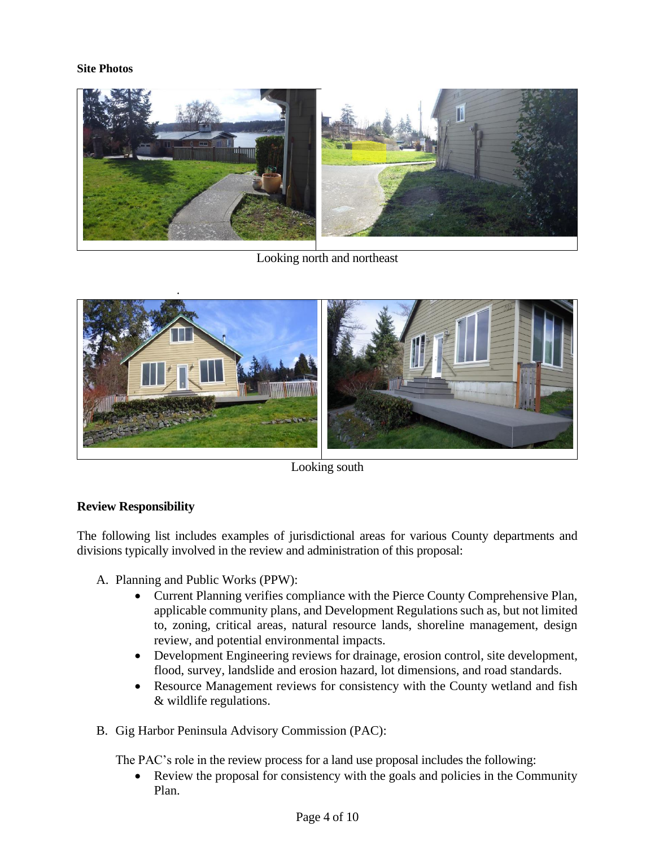#### **Site Photos**



Looking north and northeast



Looking south

# **Review Responsibility**

The following list includes examples of jurisdictional areas for various County departments and divisions typically involved in the review and administration of this proposal:

- A. Planning and Public Works (PPW):
	- Current Planning verifies compliance with the Pierce County Comprehensive Plan, applicable community plans, and Development Regulations such as, but not limited to, zoning, critical areas, natural resource lands, shoreline management, design review, and potential environmental impacts.
	- Development Engineering reviews for drainage, erosion control, site development, flood, survey, landslide and erosion hazard, lot dimensions, and road standards.
	- Resource Management reviews for consistency with the County wetland and fish & wildlife regulations.
- B. Gig Harbor Peninsula Advisory Commission (PAC):

The PAC's role in the review process for a land use proposal includes the following:

• Review the proposal for consistency with the goals and policies in the Community Plan.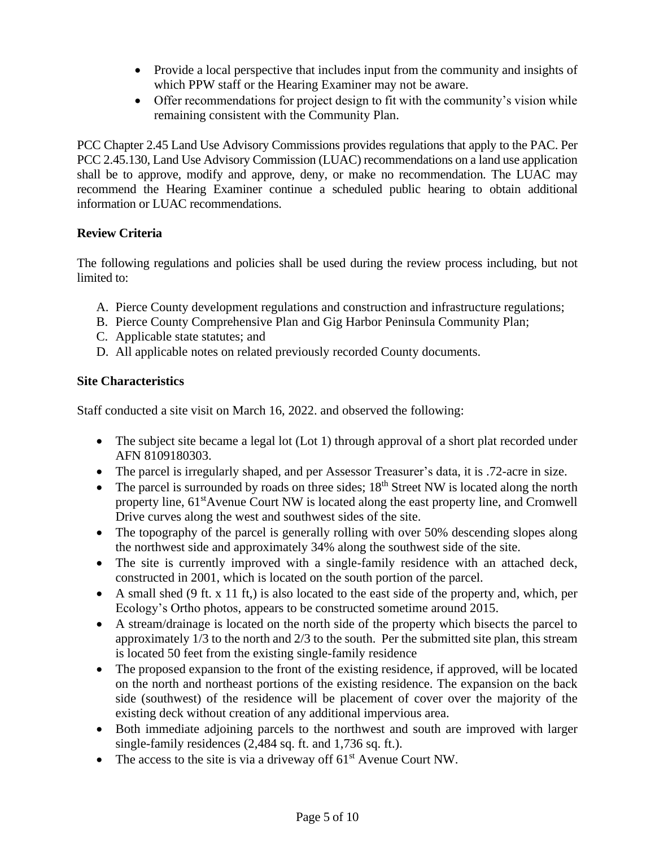- Provide a local perspective that includes input from the community and insights of which PPW staff or the Hearing Examiner may not be aware.
- Offer recommendations for project design to fit with the community's vision while remaining consistent with the Community Plan.

PCC Chapter 2.45 Land Use Advisory Commissions provides regulations that apply to the PAC. Per PCC 2.45.130, Land Use Advisory Commission (LUAC) recommendations on a land use application shall be to approve, modify and approve, deny, or make no recommendation. The LUAC may recommend the Hearing Examiner continue a scheduled public hearing to obtain additional information or LUAC recommendations.

# **Review Criteria**

The following regulations and policies shall be used during the review process including, but not limited to:

- A. Pierce County development regulations and construction and infrastructure regulations;
- B. Pierce County Comprehensive Plan and Gig Harbor Peninsula Community Plan;
- C. Applicable state statutes; and
- D. All applicable notes on related previously recorded County documents.

# **Site Characteristics**

Staff conducted a site visit on March 16, 2022. and observed the following:

- The subject site became a legal lot (Lot 1) through approval of a short plat recorded under AFN 8109180303.
- The parcel is irregularly shaped, and per Assessor Treasurer's data, it is .72-acre in size.
- The parcel is surrounded by roads on three sides;  $18<sup>th</sup>$  Street NW is located along the north property line,  $61<sup>st</sup>$ Avenue Court NW is located along the east property line, and Cromwell Drive curves along the west and southwest sides of the site.
- The topography of the parcel is generally rolling with over 50% descending slopes along the northwest side and approximately 34% along the southwest side of the site.
- The site is currently improved with a single-family residence with an attached deck, constructed in 2001, which is located on the south portion of the parcel.
- A small shed (9 ft. x 11 ft,) is also located to the east side of the property and, which, per Ecology's Ortho photos, appears to be constructed sometime around 2015.
- A stream/drainage is located on the north side of the property which bisects the parcel to approximately 1/3 to the north and 2/3 to the south. Per the submitted site plan, this stream is located 50 feet from the existing single-family residence
- The proposed expansion to the front of the existing residence, if approved, will be located on the north and northeast portions of the existing residence. The expansion on the back side (southwest) of the residence will be placement of cover over the majority of the existing deck without creation of any additional impervious area.
- Both immediate adjoining parcels to the northwest and south are improved with larger single-family residences (2,484 sq. ft. and 1,736 sq. ft.).
- The access to the site is via a driveway off  $61<sup>st</sup>$  Avenue Court NW.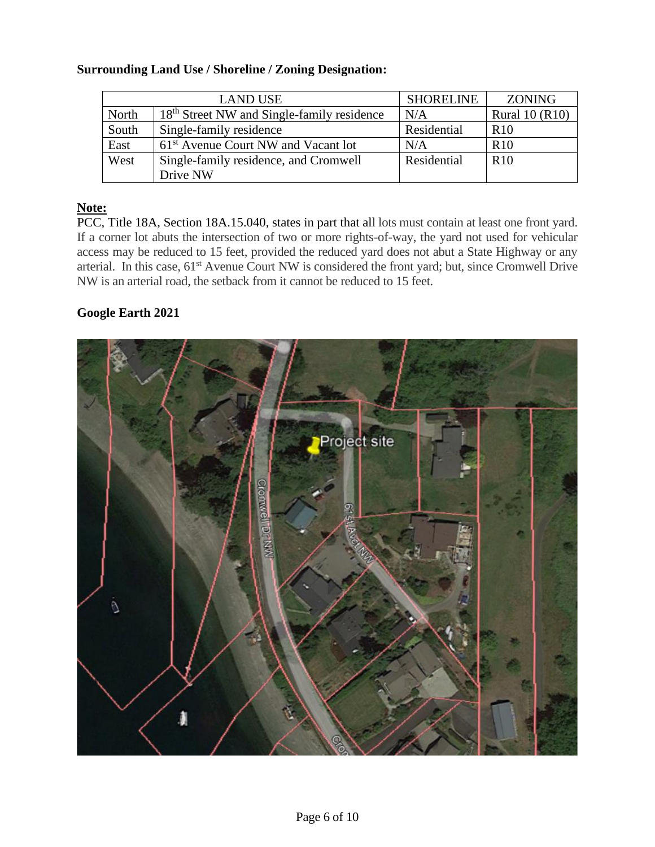#### **Surrounding Land Use / Shoreline / Zoning Designation:**

| <b>LAND USE</b> |                                                        | <b>SHORELINE</b> | <b>ZONING</b>         |
|-----------------|--------------------------------------------------------|------------------|-----------------------|
| North           | 18 <sup>th</sup> Street NW and Single-family residence | N/A              | <b>Rural 10 (R10)</b> |
| South           | Single-family residence                                | Residential      | R <sub>10</sub>       |
| East            | 61 <sup>st</sup> Avenue Court NW and Vacant lot        | N/A              | <b>R10</b>            |
| West            | Single-family residence, and Cromwell                  | Residential      | R <sub>10</sub>       |
|                 | Drive NW                                               |                  |                       |

#### **Note:**

PCC, Title 18A, Section 18A.15.040, states in part that all lots must contain at least one front yard. If a corner lot abuts the intersection of two or more rights-of-way, the yard not used for vehicular access may be reduced to 15 feet, provided the reduced yard does not abut a State Highway or any arterial. In this case, 61<sup>st</sup> Avenue Court NW is considered the front yard; but, since Cromwell Drive NW is an arterial road, the setback from it cannot be reduced to 15 feet.

#### **Google Earth 2021**

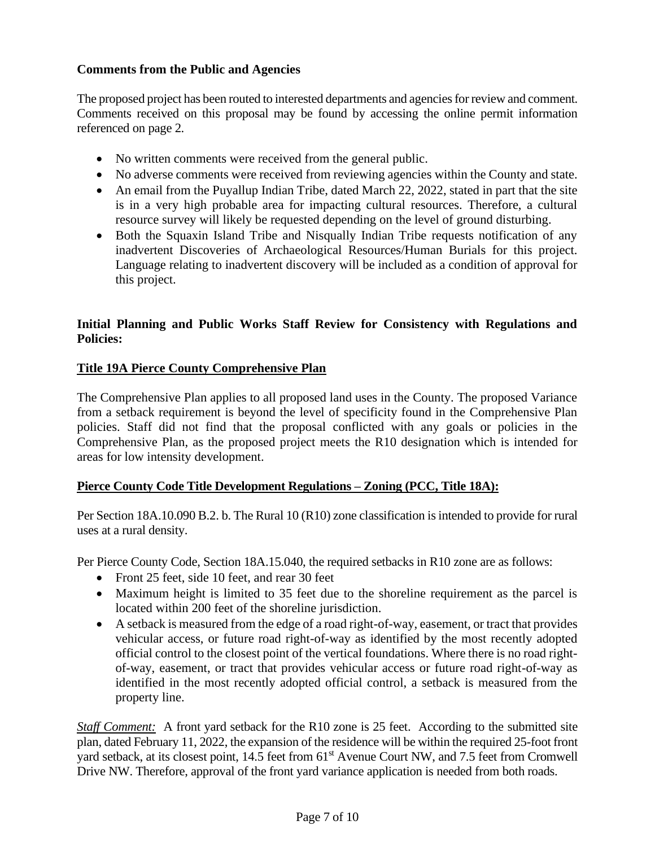# **Comments from the Public and Agencies**

The proposed project has been routed to interested departments and agencies for review and comment. Comments received on this proposal may be found by accessing the online permit information referenced on page 2.

- No written comments were received from the general public.
- No adverse comments were received from reviewing agencies within the County and state.
- An email from the Puyallup Indian Tribe, dated March 22, 2022, stated in part that the site is in a very high probable area for impacting cultural resources. Therefore, a cultural resource survey will likely be requested depending on the level of ground disturbing.
- Both the Squaxin Island Tribe and Nisqually Indian Tribe requests notification of any inadvertent Discoveries of Archaeological Resources/Human Burials for this project. Language relating to inadvertent discovery will be included as a condition of approval for this project.

# **Initial Planning and Public Works Staff Review for Consistency with Regulations and Policies:**

#### **Title 19A Pierce County Comprehensive Plan**

The Comprehensive Plan applies to all proposed land uses in the County. The proposed Variance from a setback requirement is beyond the level of specificity found in the Comprehensive Plan policies. Staff did not find that the proposal conflicted with any goals or policies in the Comprehensive Plan, as the proposed project meets the R10 designation which is intended for areas for low intensity development.

#### **Pierce County Code Title Development Regulations – Zoning (PCC, Title 18A):**

Per Section 18A.10.090 B.2. b. The Rural 10 (R10) zone classification is intended to provide for rural uses at a rural density.

Per Pierce County Code, Section 18A.15.040, the required setbacks in R10 zone are as follows:

- Front 25 feet, side 10 feet, and rear 30 feet
- Maximum height is limited to 35 feet due to the shoreline requirement as the parcel is located within 200 feet of the shoreline jurisdiction.
- A setback is measured from the edge of a road right-of-way, easement, or tract that provides vehicular access, or future road right-of-way as identified by the most recently adopted official control to the closest point of the vertical foundations. Where there is no road rightof-way, easement, or tract that provides vehicular access or future road right-of-way as identified in the most recently adopted official control, a setback is measured from the property line.

*Staff Comment:* A front yard setback for the R10 zone is 25 feet. According to the submitted site plan, dated February 11, 2022, the expansion of the residence will be within the required 25-foot front yard setback, at its closest point, 14.5 feet from 61<sup>st</sup> Avenue Court NW, and 7.5 feet from Cromwell Drive NW. Therefore, approval of the front yard variance application is needed from both roads.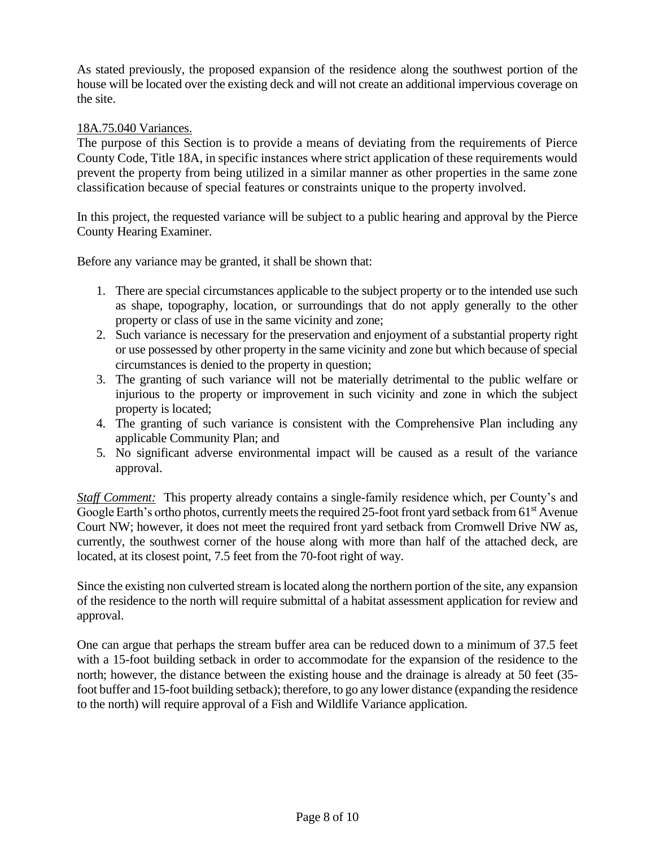As stated previously, the proposed expansion of the residence along the southwest portion of the house will be located over the existing deck and will not create an additional impervious coverage on the site.

#### 18A.75.040 Variances.

The purpose of this Section is to provide a means of deviating from the requirements of Pierce County Code, Title [18A,](https://www.codepublishing.com/WA/PierceCounty/#!/PierceCounty18A/PierceCounty18A.html#18A) in specific instances where strict application of these requirements would prevent the property from being utilized in a similar manner as other properties in the same zone classification because of special features or constraints unique to the property involved.

In this project, the requested variance will be subject to a public hearing and approval by the Pierce County Hearing Examiner.

Before any variance may be granted, it shall be shown that:

- 1. There are special circumstances applicable to the subject property or to the intended use such as shape, topography, location, or surroundings that do not apply generally to the other property or class of use in the same vicinity and zone;
- 2. Such variance is necessary for the preservation and enjoyment of a substantial property right or use possessed by other property in the same vicinity and zone but which because of special circumstances is denied to the property in question;
- 3. The granting of such variance will not be materially detrimental to the public welfare or injurious to the property or improvement in such vicinity and zone in which the subject property is located;
- 4. The granting of such variance is consistent with the Comprehensive Plan including any applicable Community Plan; and
- 5. No significant adverse environmental impact will be caused as a result of the variance approval.

*Staff Comment:* This property already contains a single-family residence which, per County's and Google Earth's ortho photos, currently meets the required 25-foot front yard setback from  $61<sup>st</sup>$  Avenue Court NW; however, it does not meet the required front yard setback from Cromwell Drive NW as, currently, the southwest corner of the house along with more than half of the attached deck, are located, at its closest point, 7.5 feet from the 70-foot right of way.

Since the existing non culverted stream is located along the northern portion of the site, any expansion of the residence to the north will require submittal of a habitat assessment application for review and approval.

One can argue that perhaps the stream buffer area can be reduced down to a minimum of 37.5 feet with a 15-foot building setback in order to accommodate for the expansion of the residence to the north; however, the distance between the existing house and the drainage is already at 50 feet (35 foot buffer and 15-foot building setback); therefore, to go any lower distance (expanding the residence to the north) will require approval of a Fish and Wildlife Variance application.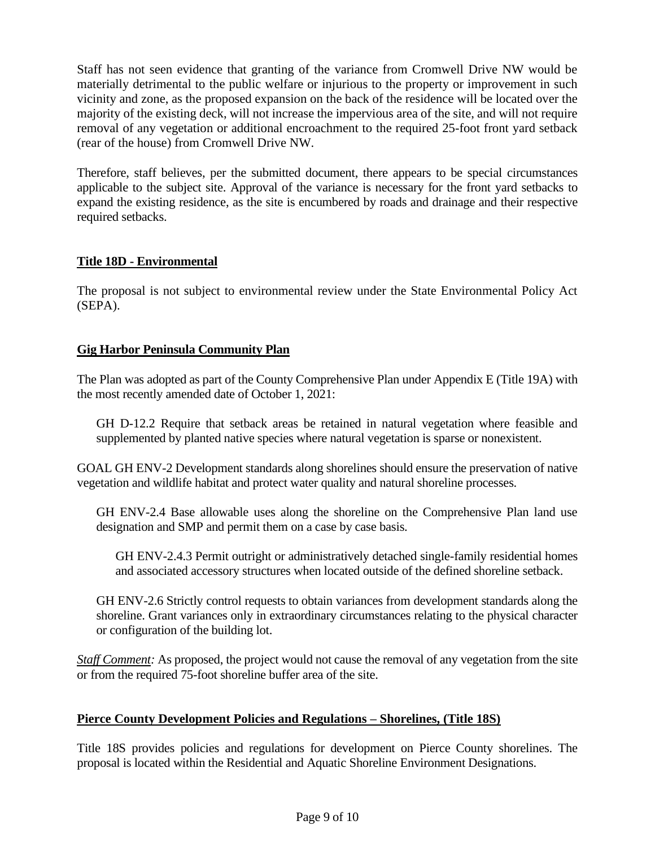Staff has not seen evidence that granting of the variance from Cromwell Drive NW would be materially detrimental to the public welfare or injurious to the property or improvement in such vicinity and zone, as the proposed expansion on the back of the residence will be located over the majority of the existing deck, will not increase the impervious area of the site, and will not require removal of any vegetation or additional encroachment to the required 25-foot front yard setback (rear of the house) from Cromwell Drive NW.

Therefore, staff believes, per the submitted document, there appears to be special circumstances applicable to the subject site. Approval of the variance is necessary for the front yard setbacks to expand the existing residence, as the site is encumbered by roads and drainage and their respective required setbacks.

# **Title 18D - Environmental**

The proposal is not subject to environmental review under the State Environmental Policy Act (SEPA).

# **Gig Harbor Peninsula Community Plan**

The Plan was adopted as part of the County Comprehensive Plan under Appendix E (Title 19A) with the most recently amended date of October 1, 2021:

GH D-12.2 Require that setback areas be retained in natural vegetation where feasible and supplemented by planted native species where natural vegetation is sparse or nonexistent.

GOAL GH ENV-2 Development standards along shorelines should ensure the preservation of native vegetation and wildlife habitat and protect water quality and natural shoreline processes.

GH ENV-2.4 Base allowable uses along the shoreline on the Comprehensive Plan land use designation and SMP and permit them on a case by case basis.

GH ENV-2.4.3 Permit outright or administratively detached single-family residential homes and associated accessory structures when located outside of the defined shoreline setback.

GH ENV-2.6 Strictly control requests to obtain variances from development standards along the shoreline. Grant variances only in extraordinary circumstances relating to the physical character or configuration of the building lot.

*Staff Comment:* As proposed, the project would not cause the removal of any vegetation from the site or from the required 75-foot shoreline buffer area of the site.

# **Pierce County Development Policies and Regulations – Shorelines, (Title 18S)**

Title 18S provides policies and regulations for development on Pierce County shorelines. The proposal is located within the Residential and Aquatic Shoreline Environment Designations.